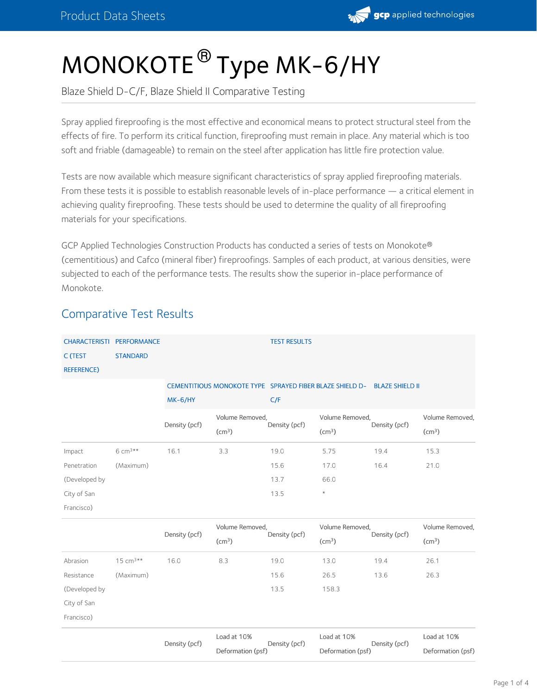

# MONOKOTE ® Type MK-6/HY

Blaze Shield D-C/F, Blaze Shield II Comparative Testing

Spray applied fireproofing is the most effective and economical means to protect structural steel from the effects of fire. To perform its critical function, fireproofing must remain in place. Any material which is too soft and friable (damageable) to remain on the steel after application has little fire protection value.

Tests are now available which measure significant characteristics of spray applied fireproofing materials. From these tests it is possible to establish reasonable levels of in-place performance — a critical element in achieving quality fireproofing. These tests should be used to determine the quality of all fireproofing materials for your specifications.

GCP Applied Technologies Construction Products has conducted a series of tests on Monokote ® (cementitious) and Cafco (mineral fiber) fireproofings. Samples of each product, at various densities, were subjected to each of the performance tests. The results show the superior in-place performance of Monokote.

# Comparative Test Results

| CHARACTERISTI PERFORMANCE<br>C (TEST<br><b>REFERENCE)</b> | <b>STANDARD</b>     |               |                                       | <b>TEST RESULTS</b> |                                                                          |               |                                       |
|-----------------------------------------------------------|---------------------|---------------|---------------------------------------|---------------------|--------------------------------------------------------------------------|---------------|---------------------------------------|
|                                                           |                     | $MK-6/HY$     |                                       | C/F                 | CEMENTITIOUS MONOKOTE TYPE SPRAYED FIBER BLAZE SHIELD D- BLAZE SHIELD II |               |                                       |
|                                                           |                     | Density (pcf) | Volume Removed,<br>(cm <sup>3</sup> ) | Density (pcf)       | Volume Removed,<br>(cm <sup>3</sup> )                                    | Density (pcf) | Volume Removed,<br>(cm <sup>3</sup> ) |
| Impact                                                    | 6 cm <sup>3**</sup> | 16.1          | 3.3                                   | 19.0                | 5.75                                                                     | 19.4          | 15.3                                  |
| Penetration                                               | (Maximum)           |               |                                       | 15.6                | 17.0                                                                     | 16.4          | 21.0                                  |
| (Developed by                                             |                     |               |                                       | 13.7                | 66.0                                                                     |               |                                       |
| City of San                                               |                     |               |                                       | 13.5                | $^{\star}$                                                               |               |                                       |
| Francisco)                                                |                     |               |                                       |                     |                                                                          |               |                                       |
|                                                           |                     | Density (pcf) | Volume Removed,<br>(cm <sup>3</sup> ) | Density (pcf)       | Volume Removed,<br>(cm <sup>3</sup> )                                    | Density (pcf) | Volume Removed,<br>(cm <sup>3</sup> ) |
| Abrasion                                                  | $15 cm^{3**}$       | 16.0          | 8.3                                   | 19.0                | 13.0                                                                     | 19.4          | 26.1                                  |
| Resistance                                                | (Maximum)           |               |                                       | 15.6                | 26.5                                                                     | 13.6          | 26.3                                  |
| (Developed by                                             |                     |               |                                       | 13.5                | 158.3                                                                    |               |                                       |
| City of San                                               |                     |               |                                       |                     |                                                                          |               |                                       |
| Francisco)                                                |                     |               |                                       |                     |                                                                          |               |                                       |
|                                                           |                     | Density (pcf) | Load at 10%<br>Deformation (psf)      | Density (pcf)       | Load at 10%<br>Deformation (psf)                                         | Density (pcf) | Load at 10%<br>Deformation (psf)      |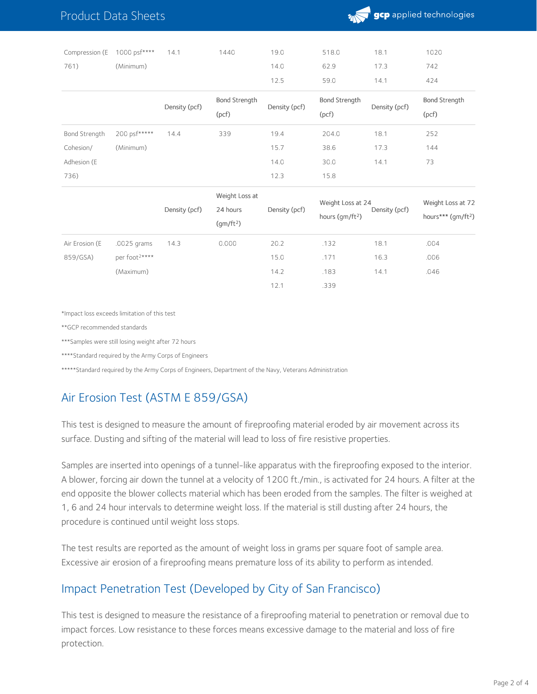### Product Data Sheets



| Compression (E | 1000 psf**** | 14.1          | 1440                          | 19.0          | 518.0                         | 18.1          | 1020                          |
|----------------|--------------|---------------|-------------------------------|---------------|-------------------------------|---------------|-------------------------------|
| 761)           | (Minimum)    |               |                               | 14.0          | 62.9                          | 17.3          | 742                           |
|                |              |               |                               | 12.5          | 59.0                          | 14.1          | 424                           |
|                |              | Density (pcf) | <b>Bond Strength</b><br>(pcf) | Density (pcf) | <b>Bond Strength</b><br>(pcf) | Density (pcf) | <b>Bond Strength</b><br>(pcf) |
| Bond Strength  | 200 psf***** | 14.4          | 339                           | 19.4          | 204.0                         | 18.1          | 252                           |
| Cohesion/      | (Minimum)    |               |                               | 15.7          | 38.6                          | 17.3          | 144                           |
| Adhesion (E    |              |               |                               | 14.0          | 30.0                          | 14.1          | 73                            |
| 736)           |              |               |                               | 12.3          | 15.8                          |               |                               |

|                |                           |               | Weight Loss at            |               | Weight Loss at 24   |               | Weight Loss at 72              |
|----------------|---------------------------|---------------|---------------------------|---------------|---------------------|---------------|--------------------------------|
|                |                           | Density (pcf) | 24 hours<br>$\frac{1}{2}$ | Density (pcf) | hours ( $qm/ft^2$ ) | Density (pcf) | hours*** (gm/ft <sup>2</sup> ) |
| Air Erosion (E | .0025 grams               | 14.3          | 0.000                     | 20.2          | .132                | 18.1          | .004                           |
| 859/GSA)       | per foot <sup>2****</sup> |               |                           | 15.0          | .171                | 16.3          | .006                           |
|                | (Maximum)                 |               |                           | 14.2          | .183                | 14.1          | .046                           |
|                |                           |               |                           | 12.1          | .339                |               |                                |

\*Impact loss exceeds limitation of this test

\*\*GCP recommended standards

\*\*\*Samples were still losing weight after 72 hours

\*\*\*\*Standard required by the Army Corps of Engineers

\*\*\*\*\*Standard required by the Army Corps of Engineers, Department of the Navy, Veterans Administration

#### Air Erosion Test (ASTM E 859/GSA)

This test is designed to measure the amount of fireproofing material eroded by air movement across its surface. Dusting and sifting of the material will lead to loss of fire resistive properties.

Samples are inserted into openings of a tunnel-like apparatus with the fireproofing exposed to the interior. A blower, forcing air down the tunnel at a velocity of 1200 ft./min., is activated for 24 hours. A filter at the end opposite the blower collects material which has been eroded from the samples. The filter is weighed at 1, 6 and 24 hour intervals to determine weight loss. If the material is still dusting after 24 hours, the procedure is continued until weight loss stops.

The test results are reported as the amount of weight loss in grams per square foot of sample area. Excessive air erosion of a fireproofing means premature loss of its ability to perform as intended.

#### Impact Penetration Test (Developed by City of San Francisco)

This test is designed to measure the resistance of a fireproofing material to penetration or removal due to impact forces. Low resistance to these forces means excessive damage to the material and loss of fire protection.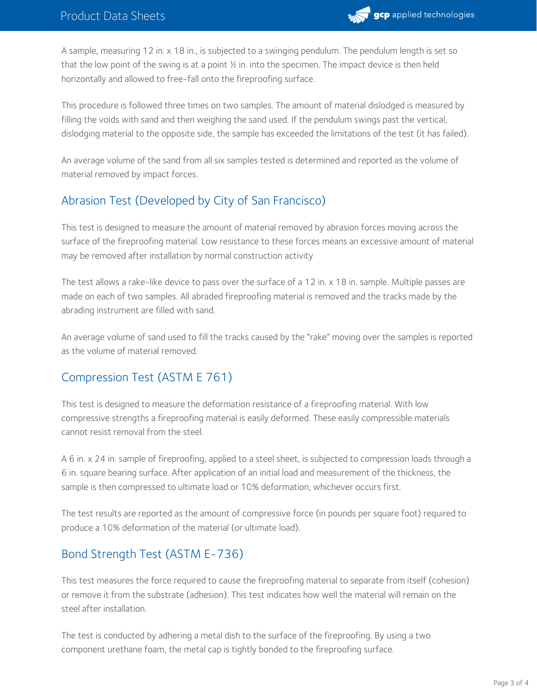

A sample, measuring 12 in. x 18 in., is subjected to a swinging pendulum. The pendulum length is set so that the low point of the swing is at a point  $\frac{1}{2}$  in. into the specimen. The impact device is then held horizontally and allowed to free-fall onto the fireproofing surface.

This procedure is followed three times on two samples. The amount of material dislodged is measured by filling the voids with sand and then weighing the sand used. If the pendulum swings past the vertical, dislodging material to the opposite side, the sample has exceeded the limitations of the test (it has failed).

An average volume of the sand from all six samples tested is determined and reported as the volume of material removed by impact forces.

# Abrasion Test (Developed by City of San Francisco)

This test is designed to measure the amount of material removed by abrasion forces moving across the surface of the fireproofing material. Low resistance to these forces means an excessive amount of material may be removed after installation by normal construction activity

The test allows a rake-like device to pass over the surface of a 12 in. x 18 in. sample. Multiple passes are made on each of two samples. All abraded fireproofing material is removed and the tracks made by the abrading instrument are filled with sand.

An average volume of sand used to fill the tracks caused by the "rake" moving over the samples is reported as the volume of material removed.

# Compression Test (ASTM E 761)

This test is designed to measure the deformation resistance of a fireproofing material. With low compressive strengths a fireproofing material is easily deformed. These easily compressible materials cannot resist removal from the steel.

A 6 in. x 24 in. sample of fireproofing, applied to a steel sheet, is subjected to compression loads through a 6 in. square bearing surface. After application of an initial load and measurement of the thickness, the sample is then compressed to ultimate load or 10% deformation, whichever occurs first.

The test results are reported as the amount of compressive force (in pounds per square foot) required to produce a 10% deformation of the material (or ultimate load).

# Bond Strength Test (ASTM E-736)

This test measures the force required to cause the fireproofing material to separate from itself (cohesion) or remove it from the substrate (adhesion). This test indicates how well the material will remain on the steel after installation.

The test is conducted by adhering a metal dish to the surface of the fireproofing. By using a two component urethane foam, the metal cap is tightly bonded to the fireproofing surface.